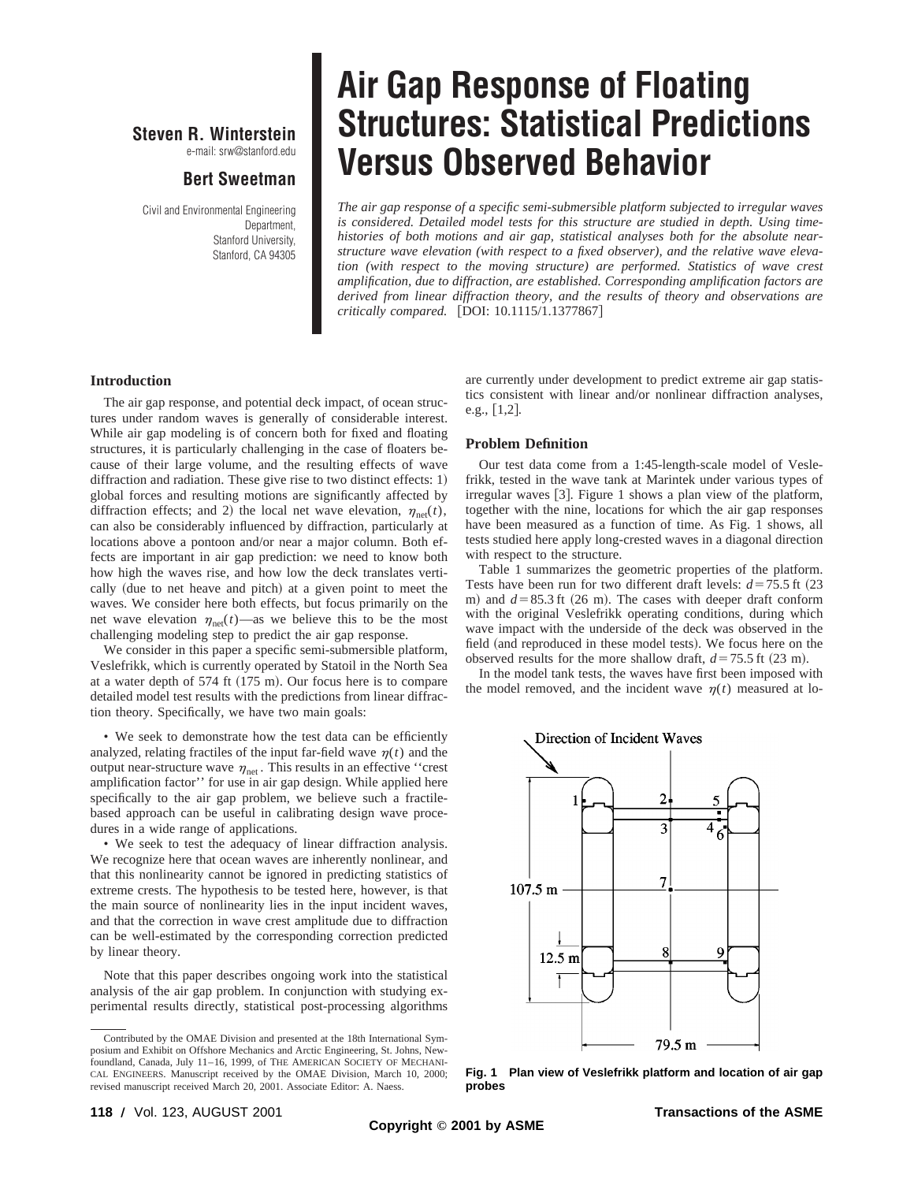## **Steven R. Winterstein**

e-mail: srw@stanford.edu

## **Bert Sweetman**

Civil and Environmental Engineering Department, Stanford University, Stanford, CA 94305

# **Air Gap Response of Floating Structures: Statistical Predictions Versus Observed Behavior**

*The air gap response of a specific semi-submersible platform subjected to irregular waves is considered. Detailed model tests for this structure are studied in depth. Using timehistories of both motions and air gap, statistical analyses both for the absolute nearstructure wave elevation (with respect to a fixed observer), and the relative wave elevation (with respect to the moving structure) are performed. Statistics of wave crest amplification, due to diffraction, are established. Corresponding amplification factors are derived from linear diffraction theory, and the results of theory and observations are critically compared.* [DOI: 10.1115/1.1377867]

### **Introduction**

The air gap response, and potential deck impact, of ocean structures under random waves is generally of considerable interest. While air gap modeling is of concern both for fixed and floating structures, it is particularly challenging in the case of floaters because of their large volume, and the resulting effects of wave diffraction and radiation. These give rise to two distinct effects:  $1$ ) global forces and resulting motions are significantly affected by diffraction effects; and 2) the local net wave elevation,  $\eta_{net}(t)$ , can also be considerably influenced by diffraction, particularly at locations above a pontoon and/or near a major column. Both effects are important in air gap prediction: we need to know both how high the waves rise, and how low the deck translates vertically (due to net heave and pitch) at a given point to meet the waves. We consider here both effects, but focus primarily on the net wave elevation  $\eta_{net}(t)$ —as we believe this to be the most challenging modeling step to predict the air gap response.

We consider in this paper a specific semi-submersible platform, Veslefrikk, which is currently operated by Statoil in the North Sea at a water depth of  $574$  ft  $(175 \text{ m})$ . Our focus here is to compare detailed model test results with the predictions from linear diffraction theory. Specifically, we have two main goals:

• We seek to demonstrate how the test data can be efficiently analyzed, relating fractiles of the input far-field wave  $\eta(t)$  and the output near-structure wave  $\eta_{net}$ . This results in an effective "crest" amplification factor'' for use in air gap design. While applied here specifically to the air gap problem, we believe such a fractilebased approach can be useful in calibrating design wave procedures in a wide range of applications.

• We seek to test the adequacy of linear diffraction analysis. We recognize here that ocean waves are inherently nonlinear, and that this nonlinearity cannot be ignored in predicting statistics of extreme crests. The hypothesis to be tested here, however, is that the main source of nonlinearity lies in the input incident waves, and that the correction in wave crest amplitude due to diffraction can be well-estimated by the corresponding correction predicted by linear theory.

Note that this paper describes ongoing work into the statistical analysis of the air gap problem. In conjunction with studying experimental results directly, statistical post-processing algorithms are currently under development to predict extreme air gap statistics consistent with linear and/or nonlinear diffraction analyses, e.g.,  $[1,2]$ .

#### **Problem Definition**

Our test data come from a 1:45-length-scale model of Veslefrikk, tested in the wave tank at Marintek under various types of irregular waves  $[3]$ . Figure 1 shows a plan view of the platform, together with the nine, locations for which the air gap responses have been measured as a function of time. As Fig. 1 shows, all tests studied here apply long-crested waves in a diagonal direction with respect to the structure.

Table 1 summarizes the geometric properties of the platform. Tests have been run for two different draft levels:  $d=75.5$  ft  $(23)$ m) and  $d=85.3$  ft (26 m). The cases with deeper draft conform with the original Veslefrikk operating conditions, during which wave impact with the underside of the deck was observed in the field (and reproduced in these model tests). We focus here on the observed results for the more shallow draft,  $d=75.5$  ft  $(23 \text{ m})$ .

In the model tank tests, the waves have first been imposed with the model removed, and the incident wave  $\eta(t)$  measured at lo-



**Fig. 1 Plan view of Veslefrikk platform and location of air gap probes**

Contributed by the OMAE Division and presented at the 18th International Symposium and Exhibit on Offshore Mechanics and Arctic Engineering, St. Johns, Newfoundland, Canada, July 11–16, 1999, of THE AMERICAN SOCIETY OF MECHANI-CAL ENGINEERS. Manuscript received by the OMAE Division, March 10, 2000; revised manuscript received March 20, 2001. Associate Editor: A. Naess.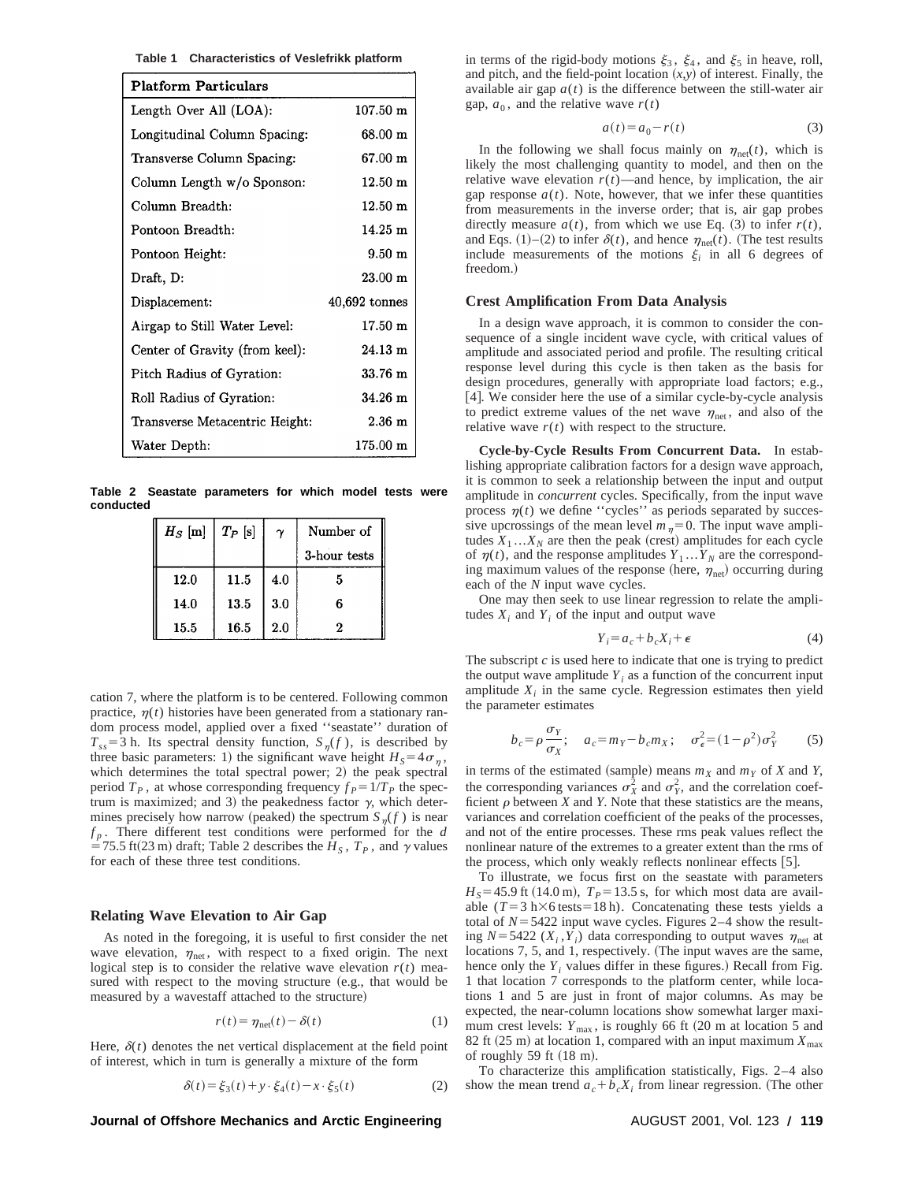**Table 1 Characteristics of Veslefrikk platform**

| <b>Platform Particulars</b>    |                        |
|--------------------------------|------------------------|
| Length Over All (LOA):         | $107.50 \; \mathrm{m}$ |
| Longitudinal Column Spacing:   | $68.00 \; \mathrm{m}$  |
| Transverse Column Spacing:     | 67.00 m                |
| Column Length w/o Sponson:     | $12.50 \text{ m}$      |
| Column Breadth:                | $12.50 \; \mathrm{m}$  |
| Pontoon Breadth:               | $14.25 \text{ m}$      |
| Pontoon Height:                | $9.50 \text{ m}$       |
| Draft, D:                      | $23.00 \; \mathrm{m}$  |
| Displacement:                  | $40,692$ tonnes        |
| Airgap to Still Water Level:   | $17.50 \; \mathrm{m}$  |
| Center of Gravity (from keel): | $24.13 \; \mathrm{m}$  |
| Pitch Radius of Gyration:      | $33.76 \; \mathrm{m}$  |
| Roll Radius of Gyration:       | $34.26 \text{ m}$      |
| Transverse Metacentric Height: | $2.36 \text{ m}$       |
| Water Depth:                   | $175.00 \;{\rm m}$     |

**Table 2 Seastate parameters for which model tests were conducted**

| $H_S$ [m] | $T_P$ [s] | $\gamma$ | Number of    |
|-----------|-----------|----------|--------------|
|           |           |          | 3-hour tests |
| 12.0      | 11.5      | 4.0      | 5            |
| 14.0      | 13.5      | 3.0      | 6            |
| 15.5      | 16.5      | 2.0      | 2            |

cation 7, where the platform is to be centered. Following common practice,  $\eta(t)$  histories have been generated from a stationary random process model, applied over a fixed ''seastate'' duration of  $T_{ss}$ =3 h. Its spectral density function,  $S_{\eta}(f)$ , is described by three basic parameters: 1) the significant wave height  $H<sub>S</sub>=4\sigma_n$ , which determines the total spectral power;  $2$ ) the peak spectral period  $T_p$ , at whose corresponding frequency  $f_p = 1/T_p$  the spectrum is maximized; and 3) the peakedness factor  $\gamma$ , which determines precisely how narrow (peaked) the spectrum  $S_n(f)$  is near  $f_p$ . There different test conditions were performed for the *d*  $=$  75.5 ft(23 m) draft; Table 2 describes the *H<sub>S</sub>*,  $T_p$ , and  $\gamma$  values for each of these three test conditions.

#### **Relating Wave Elevation to Air Gap**

As noted in the foregoing, it is useful to first consider the net wave elevation,  $\eta_{\text{net}}$ , with respect to a fixed origin. The next logical step is to consider the relative wave elevation  $r(t)$  measured with respect to the moving structure (e.g., that would be measured by a wavestaff attached to the structure)

$$
r(t) = \eta_{\text{net}}(t) - \delta(t) \tag{1}
$$

Here,  $\delta(t)$  denotes the net vertical displacement at the field point of interest, which in turn is generally a mixture of the form

$$
\delta(t) = \xi_3(t) + y \cdot \xi_4(t) - x \cdot \xi_5(t)
$$
 (2)

#### **Journal of Offshore Mechanics and Arctic Engineering AUGUST 2001, Vol. 123 / 119**

in terms of the rigid-body motions  $\xi_3$ ,  $\xi_4$ , and  $\xi_5$  in heave, roll, and pitch, and the field-point location  $(x, y)$  of interest. Finally, the available air gap  $a(t)$  is the difference between the still-water air gap,  $a_0$ , and the relative wave  $r(t)$ 

$$
a(t) = a_0 - r(t) \tag{3}
$$

In the following we shall focus mainly on  $\eta_{\text{net}}(t)$ , which is likely the most challenging quantity to model, and then on the relative wave elevation  $r(t)$ —and hence, by implication, the air gap response  $a(t)$ . Note, however, that we infer these quantities from measurements in the inverse order; that is, air gap probes directly measure  $a(t)$ , from which we use Eq. (3) to infer  $r(t)$ , and Eqs. (1)–(2) to infer  $\delta(t)$ , and hence  $\eta_{net}(t)$ . (The test results include measurements of the motions  $\xi_i$  in all 6 degrees of freedom.)

#### **Crest Amplification From Data Analysis**

In a design wave approach, it is common to consider the consequence of a single incident wave cycle, with critical values of amplitude and associated period and profile. The resulting critical response level during this cycle is then taken as the basis for design procedures, generally with appropriate load factors; e.g.,  $[4]$ . We consider here the use of a similar cycle-by-cycle analysis to predict extreme values of the net wave  $\eta_{net}$ , and also of the relative wave  $r(t)$  with respect to the structure.

**Cycle-by-Cycle Results From Concurrent Data.** In establishing appropriate calibration factors for a design wave approach, it is common to seek a relationship between the input and output amplitude in *concurrent* cycles. Specifically, from the input wave process  $\eta(t)$  we define "cycles" as periods separated by successive upcrossings of the mean level  $m<sub>n</sub>=0$ . The input wave amplitudes  $X_1...X_N$  are then the peak (crest) amplitudes for each cycle of  $\eta(t)$ , and the response amplitudes  $Y_1 \dots Y_N$  are the corresponding maximum values of the response (here,  $\eta_{net}$ ) occurring during each of the *N* input wave cycles.

One may then seek to use linear regression to relate the amplitudes  $X_i$  and  $Y_i$  of the input and output wave

$$
Y_i = a_c + b_c X_i + \epsilon \tag{4}
$$

The subscript *c* is used here to indicate that one is trying to predict the output wave amplitude  $Y_i$  as a function of the concurrent input amplitude  $X_i$  in the same cycle. Regression estimates then yield the parameter estimates

$$
b_c = \rho \frac{\sigma_Y}{\sigma_X}; \quad a_c = m_Y - b_c m_X; \quad \sigma_\epsilon^2 = (1 - \rho^2) \sigma_Y^2 \tag{5}
$$

in terms of the estimated (sample) means  $m_X$  and  $m_Y$  of *X* and *Y*, the corresponding variances  $\sigma_X^2$  and  $\sigma_Y^2$ , and the correlation coefficient  $\rho$  between *X* and *Y*. Note that these statistics are the means, variances and correlation coefficient of the peaks of the processes, and not of the entire processes. These rms peak values reflect the nonlinear nature of the extremes to a greater extent than the rms of the process, which only weakly reflects nonlinear effects  $[5]$ .

To illustrate, we focus first on the seastate with parameters  $H<sub>S</sub>=45.9$  ft (14.0 m),  $T<sub>P</sub>=13.5$  s, for which most data are available  $(T=3 \text{ h} \times 6 \text{ tests} = 18 \text{ h})$ . Concatenating these tests yields a total of  $N=5422$  input wave cycles. Figures 2–4 show the resulting  $N=5422$  ( $X_i$ , $Y_i$ ) data corresponding to output waves  $\eta_{net}$  at locations 7, 5, and 1, respectively. (The input waves are the same, hence only the  $Y_i$  values differ in these figures.) Recall from Fig. 1 that location 7 corresponds to the platform center, while locations 1 and 5 are just in front of major columns. As may be expected, the near-column locations show somewhat larger maximum crest levels:  $Y_{\text{max}}$ , is roughly 66 ft (20 m at location 5 and 82 ft  $(25 \text{ m})$  at location 1, compared with an input maximum  $X_{\text{max}}$ of roughly  $59$  ft  $(18 \text{ m})$ .

To characterize this amplification statistically, Figs. 2–4 also show the mean trend  $a_c + b_c X_i$  from linear regression. (The other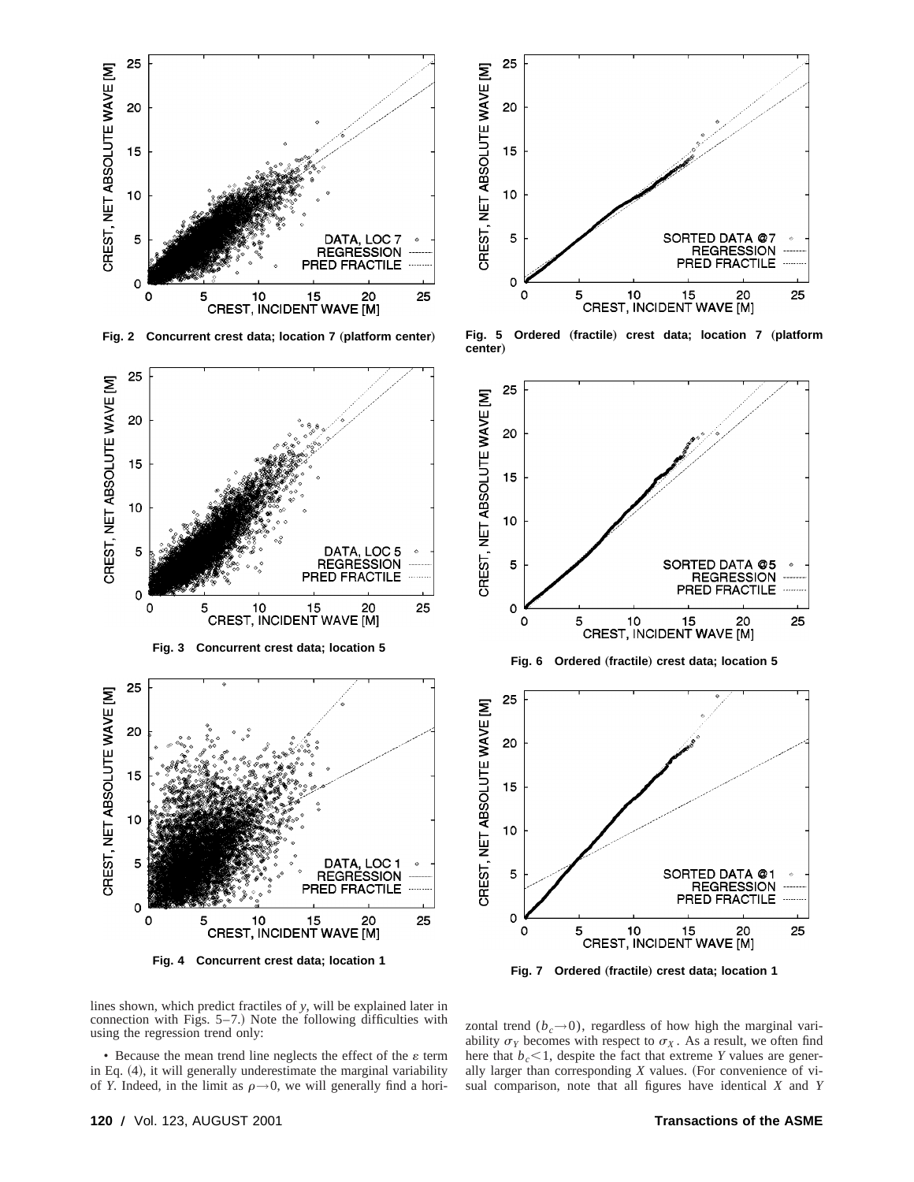

Fig. 2 Concurrent crest data; location 7 (platform center)









Fig. 5 Ordered (fractile) crest data; location 7 (platform **center**…



**Fig. 7** Ordered (fractile) crest data; location 1

lines shown, which predict fractiles of *y*, will be explained later in connection with Figs.  $5-7$ .) Note the following difficulties with using the regression trend only:

• Because the mean trend line neglects the effect of the  $\varepsilon$  term in Eq.  $(4)$ , it will generally underestimate the marginal variability of *Y*. Indeed, in the limit as  $\rho \rightarrow 0$ , we will generally find a horizontal trend  $(b<sub>c</sub> \rightarrow 0)$ , regardless of how high the marginal variability  $\sigma_Y$  becomes with respect to  $\sigma_X$ . As a result, we often find here that  $b_c < 1$ , despite the fact that extreme *Y* values are generally larger than corresponding  $X$  values. (For convenience of visual comparison, note that all figures have identical *X* and *Y*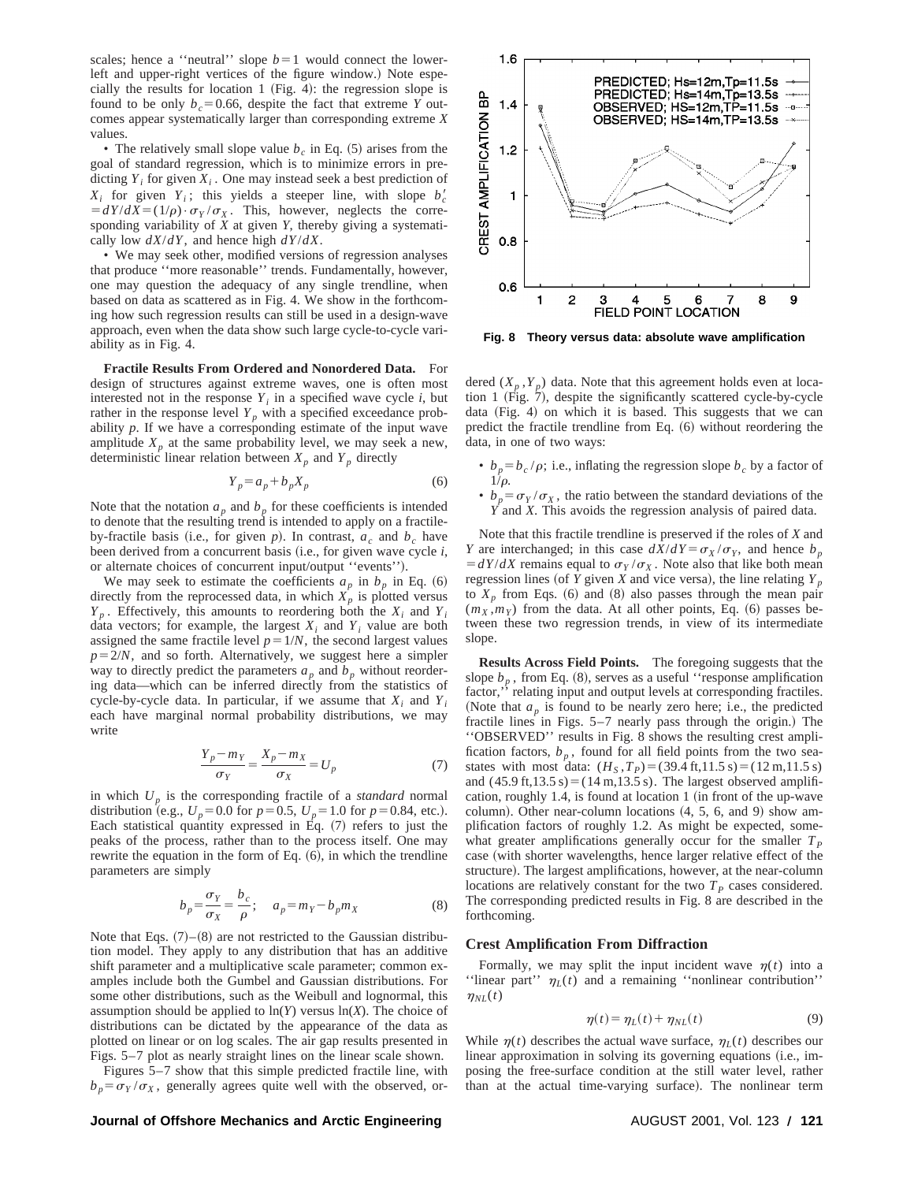scales; hence a "neutral" slope  $b=1$  would connect the lowerleft and upper-right vertices of the figure window.) Note especially the results for location 1 (Fig. 4): the regression slope is found to be only  $b_c=0.66$ , despite the fact that extreme *Y* outcomes appear systematically larger than corresponding extreme *X* values.

• The relatively small slope value  $b_c$  in Eq.  $(5)$  arises from the goal of standard regression, which is to minimize errors in predicting  $Y_i$  for given  $X_i$ . One may instead seek a best prediction of  $X_i$  for given  $Y_i$ ; this yields a steeper line, with slope  $b'_c$  $\frac{dY}{dX} = \frac{1}{\rho} \cdot \sigma_Y / \sigma_X$ . This, however, neglects the corresponding variability of *X* at given *Y*, thereby giving a systematically low *dX*/*dY*, and hence high *dY*/*dX*.

• We may seek other, modified versions of regression analyses that produce ''more reasonable'' trends. Fundamentally, however, one may question the adequacy of any single trendline, when based on data as scattered as in Fig. 4. We show in the forthcoming how such regression results can still be used in a design-wave approach, even when the data show such large cycle-to-cycle variability as in Fig. 4.

**Fractile Results From Ordered and Nonordered Data.** For design of structures against extreme waves, one is often most interested not in the response  $Y_i$  in a specified wave cycle  $i$ , but rather in the response level  $Y_p$  with a specified exceedance probability *p*. If we have a corresponding estimate of the input wave amplitude  $X_p$  at the same probability level, we may seek a new, deterministic linear relation between  $X_p$  and  $Y_p$  directly

$$
Y_p = a_p + b_p X_p \tag{6}
$$

Note that the notation  $a_p$  and  $b_p$  for these coefficients is intended to denote that the resulting trend is intended to apply on a fractileby-fractile basis (i.e., for given  $p$ ). In contrast,  $a_c$  and  $b_c$  have been derived from a concurrent basis (i.e., for given wave cycle *i*, or alternate choices of concurrent input/output "events").

We may seek to estimate the coefficients  $a_p$  in  $b_p$  in Eq. (6) directly from the reprocessed data, in which  $X_p$  is plotted versus  $Y_p$ . Effectively, this amounts to reordering both the  $X_i$  and  $Y_i$ data vectors; for example, the largest  $X_i$  and  $Y_i$  value are both assigned the same fractile level  $p=1/N$ , the second largest values  $p=2/N$ , and so forth. Alternatively, we suggest here a simpler way to directly predict the parameters  $a_p$  and  $b_p$  without reordering data—which can be inferred directly from the statistics of cycle-by-cycle data. In particular, if we assume that  $X_i$  and  $Y_i$ each have marginal normal probability distributions, we may write

$$
\frac{Y_p - m_Y}{\sigma_Y} = \frac{X_p - m_X}{\sigma_X} = U_p \tag{7}
$$

in which *Up* is the corresponding fractile of a *standard* normal distribution (e.g.,  $U_p = 0.0$  for  $p = 0.5$ ,  $U_p = 1.0$  for  $p = 0.84$ , etc.). Each statistical quantity expressed in Eq.  $(7)$  refers to just the peaks of the process, rather than to the process itself. One may rewrite the equation in the form of Eq.  $(6)$ , in which the trendline parameters are simply

$$
b_p = \frac{\sigma_Y}{\sigma_X} = \frac{b_c}{\rho}; \quad a_p = m_Y - b_p m_X \tag{8}
$$

Note that Eqs.  $(7)$ – $(8)$  are not restricted to the Gaussian distribution model. They apply to any distribution that has an additive shift parameter and a multiplicative scale parameter; common examples include both the Gumbel and Gaussian distributions. For some other distributions, such as the Weibull and lognormal, this assumption should be applied to  $ln(Y)$  versus  $ln(X)$ . The choice of distributions can be dictated by the appearance of the data as plotted on linear or on log scales. The air gap results presented in Figs. 5–7 plot as nearly straight lines on the linear scale shown.

Figures 5–7 show that this simple predicted fractile line, with  $b_p = \sigma_Y / \sigma_X$ , generally agrees quite well with the observed, or-



**Fig. 8 Theory versus data: absolute wave amplification**

dered  $(X_p, Y_p)$  data. Note that this agreement holds even at location 1 (Fig.  $7$ ), despite the significantly scattered cycle-by-cycle data  $(Fig. 4)$  on which it is based. This suggests that we can predict the fractile trendline from Eq.  $(6)$  without reordering the data, in one of two ways:

- $b_p = b_c / \rho$ ; i.e., inflating the regression slope  $b_c$  by a factor of  $1/\rho$ .
- $b_p = \sigma_Y / \sigma_X$ , the ratio between the standard deviations of the *Y* and *X*. This avoids the regression analysis of paired data.

Note that this fractile trendline is preserved if the roles of *X* and *Y* are interchanged; in this case  $dX/dY = \sigma_X/\sigma_Y$ , and hence  $b_p$  $= dY/dX$  remains equal to  $\sigma_Y/\sigma_X$ . Note also that like both mean regression lines (of *Y* given *X* and vice versa), the line relating  $Y_p$ to  $X_n$  from Eqs.  $(6)$  and  $(8)$  also passes through the mean pair  $(m_X, m_Y)$  from the data. At all other points, Eq. (6) passes between these two regression trends, in view of its intermediate slope.

**Results Across Field Points.** The foregoing suggests that the slope  $b_p$ , from Eq. (8), serves as a useful "response amplification" factor," relating input and output levels at corresponding fractiles. (Note that  $a_p$  is found to be nearly zero here; i.e., the predicted fractile lines in Figs.  $5-7$  nearly pass through the origin.) The ''OBSERVED'' results in Fig. 8 shows the resulting crest amplification factors,  $b_p$ , found for all field points from the two seastates with most data:  $(H_S, T_P) = (39.4 \text{ ft}, 11.5 \text{ s}) = (12 \text{ m}, 11.5 \text{ s})$ and  $(45.9 \text{ ft}, 13.5 \text{ s}) = (14 \text{ m}, 13.5 \text{ s})$ . The largest observed amplification, roughly 1.4, is found at location 1  $(in$  front of the up-wave column). Other near-column locations  $(4, 5, 6,$  and 9) show amplification factors of roughly 1.2. As might be expected, somewhat greater amplifications generally occur for the smaller  $T_p$ case (with shorter wavelengths, hence larger relative effect of the structure). The largest amplifications, however, at the near-column locations are relatively constant for the two  $T<sub>p</sub>$  cases considered. The corresponding predicted results in Fig. 8 are described in the forthcoming.

#### **Crest Amplification From Diffraction**

Formally, we may split the input incident wave  $n(t)$  into a ''linear part''  $\eta_L(t)$  and a remaining ''nonlinear contribution''  $\eta_{NL}(t)$ 

$$
\eta(t) = \eta_L(t) + \eta_{NL}(t) \tag{9}
$$

While  $\eta(t)$  describes the actual wave surface,  $\eta_L(t)$  describes our linear approximation in solving its governing equations (i.e., imposing the free-surface condition at the still water level, rather than at the actual time-varying surface). The nonlinear term

#### **Journal of Offshore Mechanics and Arctic Engineering <b>AUGUST 2001, Vol. 123** / 121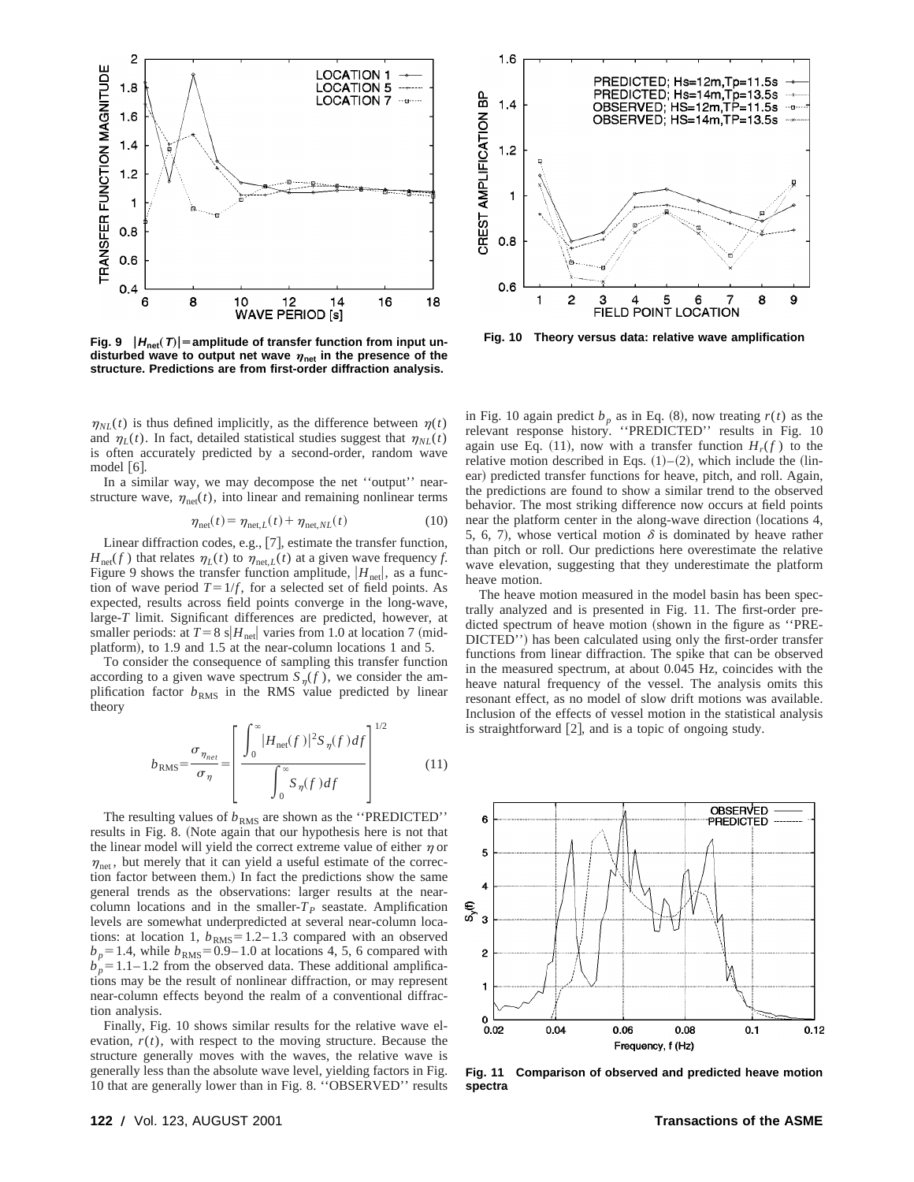

**Fig. 9**  $|H_{\text{net}}(T)|$  = amplitude of transfer function from input undisturbed wave to output net wave  $\eta_{net}$  in the presence of the **structure. Predictions are from first-order diffraction analysis.**

 $\eta_{NL}(t)$  is thus defined implicitly, as the difference between  $\eta(t)$ and  $\eta_L(t)$ . In fact, detailed statistical studies suggest that  $\eta_{NL}(t)$ is often accurately predicted by a second-order, random wave model  $|6|$ .

In a similar way, we may decompose the net ''output'' nearstructure wave,  $\eta_{net}(t)$ , into linear and remaining nonlinear terms

$$
\eta_{\text{net}}(t) = \eta_{\text{net},L}(t) + \eta_{\text{net},NL}(t) \tag{10}
$$

Linear diffraction codes, e.g.,  $[7]$ , estimate the transfer function,  $H_{\text{net}}(f)$  that relates  $\eta_L(t)$  to  $\eta_{\text{net},L}(t)$  at a given wave frequency *f*. Figure 9 shows the transfer function amplitude,  $|H_{\text{net}}|$ , as a function of wave period  $T=1/f$ , for a selected set of field points. As expected, results across field points converge in the long-wave, large-*T* limit. Significant differences are predicted, however, at smaller periods: at  $T=8$  s $|H_{\text{net}}|$  varies from 1.0 at location 7 (midplatform), to 1.9 and 1.5 at the near-column locations 1 and 5.

To consider the consequence of sampling this transfer function according to a given wave spectrum  $S_n(f)$ , we consider the amplification factor  $b_{RMS}$  in the RMS value predicted by linear theory

$$
b_{\text{RMS}} = \frac{\sigma_{\eta_{net}}}{\sigma_{\eta}} = \left[ \frac{\int_0^\infty |H_{\text{net}}(f)|^2 S_{\eta}(f) df}{\int_0^\infty S_{\eta}(f) df} \right]^{1/2} \tag{11}
$$

The resulting values of  $b_{RMS}$  are shown as the "PREDICTED" results in Fig. 8. (Note again that our hypothesis here is not that the linear model will yield the correct extreme value of either  $\eta$  or  $\eta_{\text{net}}$ , but merely that it can yield a useful estimate of the correction factor between them.) In fact the predictions show the same general trends as the observations: larger results at the nearcolumn locations and in the smaller- $T_p$  seastate. Amplification levels are somewhat underpredicted at several near-column locations: at location 1,  $b_{RMS} = 1.2 - 1.3$  compared with an observed  $b_p = 1.4$ , while  $b_{RMS} = 0.9 - 1.0$  at locations 4, 5, 6 compared with  $b_p = 1.1 - 1.2$  from the observed data. These additional amplifications may be the result of nonlinear diffraction, or may represent near-column effects beyond the realm of a conventional diffraction analysis.

Finally, Fig. 10 shows similar results for the relative wave elevation,  $r(t)$ , with respect to the moving structure. Because the structure generally moves with the waves, the relative wave is generally less than the absolute wave level, yielding factors in Fig. 10 that are generally lower than in Fig. 8. ''OBSERVED'' results



**Fig. 10 Theory versus data: relative wave amplification**

in Fig. 10 again predict  $b<sub>p</sub>$  as in Eq. (8), now treating  $r(t)$  as the relevant response history. ''PREDICTED'' results in Fig. 10 again use Eq. (11), now with a transfer function  $H_r(f)$  to the relative motion described in Eqs.  $(1)-(2)$ , which include the (linear) predicted transfer functions for heave, pitch, and roll. Again, the predictions are found to show a similar trend to the observed behavior. The most striking difference now occurs at field points near the platform center in the along-wave direction (locations 4, 5, 6, 7), whose vertical motion  $\delta$  is dominated by heave rather than pitch or roll. Our predictions here overestimate the relative wave elevation, suggesting that they underestimate the platform heave motion.

The heave motion measured in the model basin has been spectrally analyzed and is presented in Fig. 11. The first-order predicted spectrum of heave motion (shown in the figure as "PRE-DICTED") has been calculated using only the first-order transfer functions from linear diffraction. The spike that can be observed in the measured spectrum, at about 0.045 Hz, coincides with the heave natural frequency of the vessel. The analysis omits this resonant effect, as no model of slow drift motions was available. Inclusion of the effects of vessel motion in the statistical analysis is straightforward  $[2]$ , and is a topic of ongoing study.



**Fig. 11 Comparison of observed and predicted heave motion spectra**